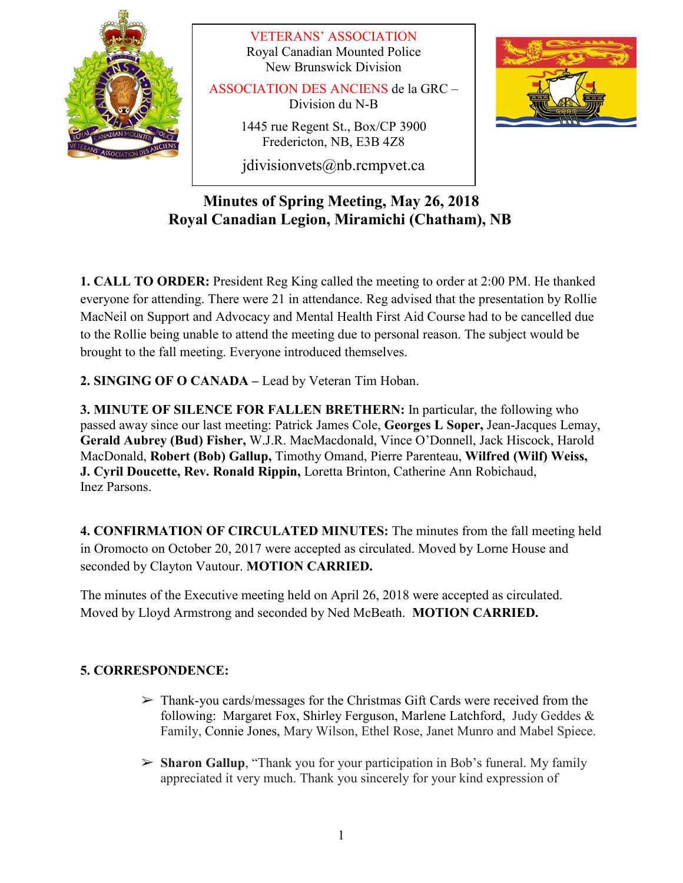

VETERANS' ASSOCIATION Royal Canadian Mounted Police New Brunswick Division

ASSOCIATION DES ANCIENS de la GRC – Division du N-B

> 1445 rue Regent St., Box/CP 3900 Fredericton, NB, E3B 4Z8

> jdivisionvets@nb.rcmpvet.ca



# **Minutes of Spring Meeting, May 26, 2018 Royal Canadian Legion, Miramichi (Chatham), NB**

**1. CALL TO ORDER:** President Reg King called the meeting to order at 2:00 PM. He thanked everyone for attending. There were 21 in attendance. Reg advised that the presentation by Rollie MacNeil on Support and Advocacy and Mental Health First Aid Course had to be cancelled due to the Rollie being unable to attend the meeting due to personal reason. The subject would be brought to the fall meeting. Everyone introduced themselves.

**2. SINGING OF O CANADA –** Lead by Veteran Tim Hoban.

**3. MINUTE OF SILENCE FOR FALLEN BRETHERN:** In particular, the following who passed away since our last meeting: Patrick James Cole, **Georges L Soper,** Jean-Jacques Lemay, **Gerald Aubrey (Bud) Fisher,** W.J.R. MacMacdonald, Vince O'Donnell, Jack Hiscock, Harold MacDonald, **Robert (Bob) Gallup,** Timothy Omand, Pierre Parenteau, **Wilfred (Wilf) Weiss, J. Cyril Doucette, Rev. Ronald Rippin,** Loretta Brinton, Catherine Ann Robichaud, Inez Parsons.

**4. CONFIRMATION OF CIRCULATED MINUTES:** The minutes from the fall meeting held in Oromocto on October 20, 2017 were accepted as circulated. Moved by Lorne House and seconded by Clayton Vautour. **MOTION CARRIED.**

The minutes of the Executive meeting held on April 26, 2018 were accepted as circulated. Moved by Lloyd Armstrong and seconded by Ned McBeath. **MOTION CARRIED.**

# **5. CORRESPONDENCE:**

- $\triangleright$  Thank-you cards/messages for the Christmas Gift Cards were received from the following: Margaret Fox, Shirley Ferguson, Marlene Latchford, Judy Geddes & Family, Connie Jones, Mary Wilson, Ethel Rose, Janet Munro and Mabel Spiece.
- ➢ **Sharon Gallup**, "Thank you for your participation in Bob's funeral. My family appreciated it very much. Thank you sincerely for your kind expression of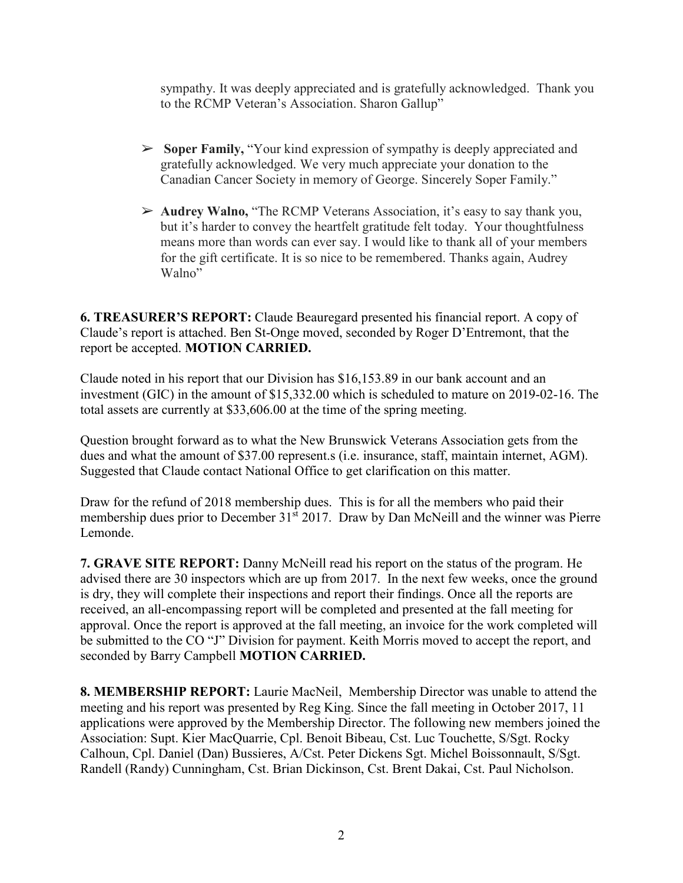sympathy. It was deeply appreciated and is gratefully acknowledged. Thank you to the RCMP Veteran's Association. Sharon Gallup"

- ➢ **Soper Family,** "Your kind expression of sympathy is deeply appreciated and gratefully acknowledged. We very much appreciate your donation to the Canadian Cancer Society in memory of George. Sincerely Soper Family."
- ➢ **Audrey Walno,** "The RCMP Veterans Association, it's easy to say thank you, but it's harder to convey the heartfelt gratitude felt today. Your thoughtfulness means more than words can ever say. I would like to thank all of your members for the gift certificate. It is so nice to be remembered. Thanks again, Audrey Walno"

**6. TREASURER'S REPORT:** Claude Beauregard presented his financial report. A copy of Claude's report is attached. Ben St-Onge moved, seconded by Roger D'Entremont, that the report be accepted. **MOTION CARRIED.**

Claude noted in his report that our Division has \$16,153.89 in our bank account and an investment (GIC) in the amount of \$15,332.00 which is scheduled to mature on 2019-02-16. The total assets are currently at \$33,606.00 at the time of the spring meeting.

Question brought forward as to what the New Brunswick Veterans Association gets from the dues and what the amount of \$37.00 represent.s (i.e. insurance, staff, maintain internet, AGM). Suggested that Claude contact National Office to get clarification on this matter.

Draw for the refund of 2018 membership dues. This is for all the members who paid their membership dues prior to December 31<sup>st</sup> 2017. Draw by Dan McNeill and the winner was Pierre Lemonde.

**7. GRAVE SITE REPORT:** Danny McNeill read his report on the status of the program. He advised there are 30 inspectors which are up from 2017. In the next few weeks, once the ground is dry, they will complete their inspections and report their findings. Once all the reports are received, an all-encompassing report will be completed and presented at the fall meeting for approval. Once the report is approved at the fall meeting, an invoice for the work completed will be submitted to the CO "J" Division for payment. Keith Morris moved to accept the report, and seconded by Barry Campbell **MOTION CARRIED.**

**8. MEMBERSHIP REPORT:** Laurie MacNeil, Membership Director was unable to attend the meeting and his report was presented by Reg King. Since the fall meeting in October 2017, 11 applications were approved by the Membership Director. The following new members joined the Association: Supt. Kier MacQuarrie, Cpl. Benoit Bibeau, Cst. Luc Touchette, S/Sgt. Rocky Calhoun, Cpl. Daniel (Dan) Bussieres, A/Cst. Peter Dickens Sgt. Michel Boissonnault, S/Sgt. Randell (Randy) Cunningham, Cst. Brian Dickinson, Cst. Brent Dakai, Cst. Paul Nicholson.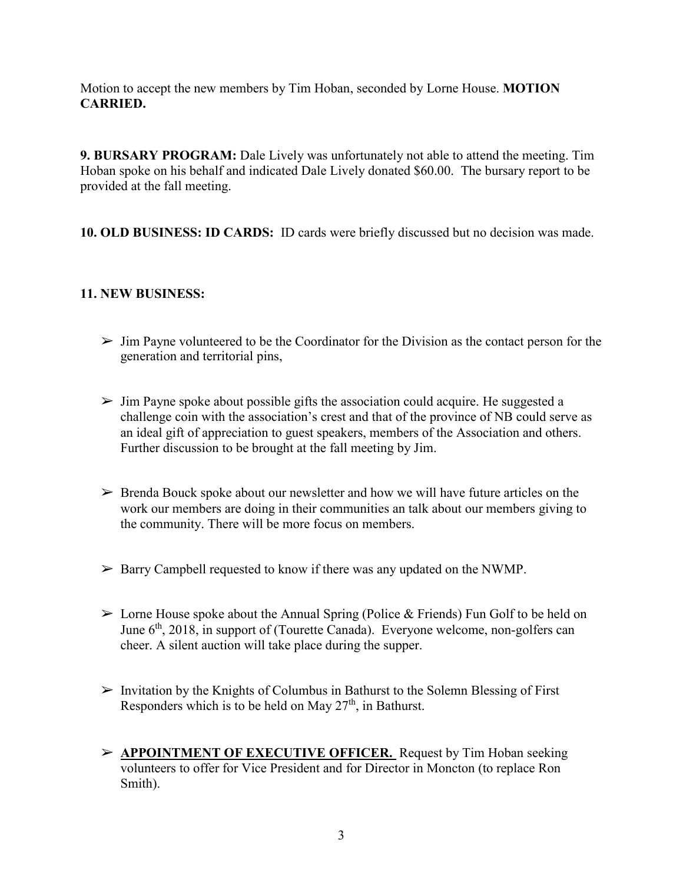Motion to accept the new members by Tim Hoban, seconded by Lorne House. **MOTION CARRIED.**

**9. BURSARY PROGRAM:** Dale Lively was unfortunately not able to attend the meeting. Tim Hoban spoke on his behalf and indicated Dale Lively donated \$60.00. The bursary report to be provided at the fall meeting.

**10. OLD BUSINESS: ID CARDS:** ID cards were briefly discussed but no decision was made.

## **11. NEW BUSINESS:**

- $\triangleright$  Jim Payne volunteered to be the Coordinator for the Division as the contact person for the generation and territorial pins,
- $\triangleright$  Jim Payne spoke about possible gifts the association could acquire. He suggested a challenge coin with the association's crest and that of the province of NB could serve as an ideal gift of appreciation to guest speakers, members of the Association and others. Further discussion to be brought at the fall meeting by Jim.
- $\triangleright$  Brenda Bouck spoke about our newsletter and how we will have future articles on the work our members are doing in their communities an talk about our members giving to the community. There will be more focus on members.
- $\triangleright$  Barry Campbell requested to know if there was any updated on the NWMP.
- $\geq$  Lorne House spoke about the Annual Spring (Police & Friends) Fun Golf to be held on June  $6<sup>th</sup>$ , 2018, in support of (Tourette Canada). Everyone welcome, non-golfers can cheer. A silent auction will take place during the supper.
- $\triangleright$  Invitation by the Knights of Columbus in Bathurst to the Solemn Blessing of First Responders which is to be held on May  $27<sup>th</sup>$ , in Bathurst.
- ➢ **APPOINTMENT OF EXECUTIVE OFFICER.** Request by Tim Hoban seeking volunteers to offer for Vice President and for Director in Moncton (to replace Ron Smith).